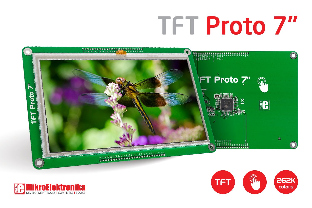## **TFT Proto 7"**





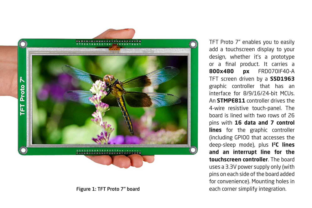

Figure 1: TFT Proto 7" board

TFT Proto 7" enables you to easily add a touchscreen display to your design, whether it's a prototype or a final product. It carries a **800x480 px** FRD070IF40-A TFT screen driven by a **SSD1963** graphic controller that has an interface for 8/9/16/24-hit MCUs. An **STMPE811** controller drives the 4-wire resistive touch-panel. The board is lined with two rows of 26 pins with **16 data and 7 control lines** for the graphic controller (including GPIO0 that accesses the deep-sleep mode), plus **I 2C lines and an interrupt line for the touchscreen controller**. The board uses a 3.3V power supply only (with pins on each side of the board added for convenience). Mounting holes in each corner simplify integration.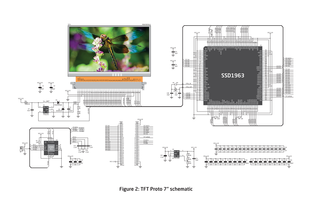

Figure 2: TFT Proto 7" schematic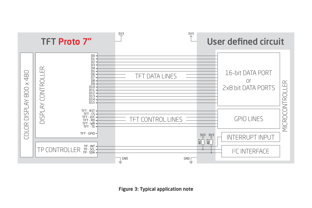

Figure 3: Typical application note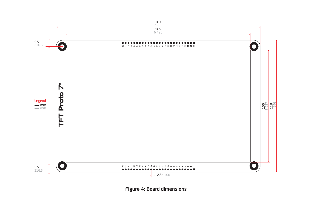

Figure 4: Board dimensions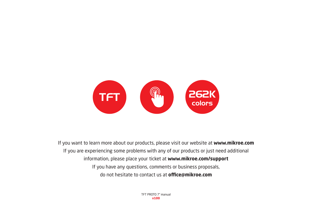

If you want to learn more about our products, please visit our website at **www.mikroe.com** If you are experiencing some problems with any of our products or just need additional information, please place your ticket at **www.mikroe.com/support** If you have any questions, comments or business proposals, do not hesitate to contact us at **office@mikroe.com**